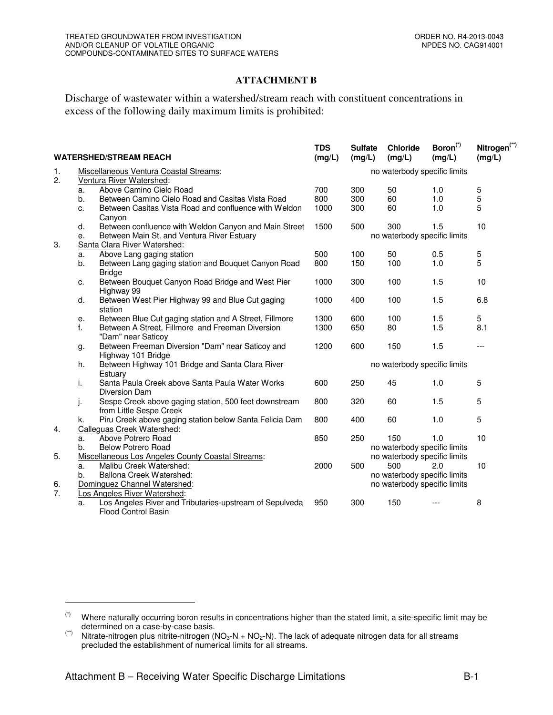## **ATTACHMENT B**

Discharge of wastewater within a watershed/stream reach with constituent concentrations in excess of the following daily maximum limits is prohibited:

| <b>WATERSHED/STREAM REACH</b> |                                                   |                                                                                       | <b>TDS</b><br>(mg/L)         | <b>Sulfate</b><br>(mg/L)     | <b>Chloride</b><br>(mg/L)    | Boron <sup>(*)</sup><br>(mg/L) | Nitrogen <sup>(**)</sup><br>(mg/L) |  |  |
|-------------------------------|---------------------------------------------------|---------------------------------------------------------------------------------------|------------------------------|------------------------------|------------------------------|--------------------------------|------------------------------------|--|--|
| 1.                            | Miscellaneous Ventura Coastal Streams:            |                                                                                       |                              | no waterbody specific limits |                              |                                |                                    |  |  |
| 2.                            |                                                   | Ventura River Watershed:                                                              |                              |                              |                              |                                |                                    |  |  |
|                               | a.                                                | Above Camino Cielo Road                                                               | 700                          | 300                          | 50                           | 1.0                            | 5                                  |  |  |
|                               | b.                                                | Between Camino Cielo Road and Casitas Vista Road                                      | 800                          | 300                          | 60                           | 1.0                            | 5                                  |  |  |
|                               | c.                                                | Between Casitas Vista Road and confluence with Weldon<br>Canyon                       | 1000                         | 300                          | 60                           | 1.0                            | 5                                  |  |  |
|                               | d.                                                | Between confluence with Weldon Canyon and Main Street                                 | 1500                         | 500                          | 300                          | 1.5                            | 10                                 |  |  |
|                               | Between Main St. and Ventura River Estuary<br>е.  |                                                                                       |                              | no waterbody specific limits |                              |                                |                                    |  |  |
| 3.                            |                                                   | Santa Clara River Watershed:                                                          |                              |                              |                              |                                |                                    |  |  |
|                               | a.                                                | Above Lang gaging station                                                             | 500                          | 100                          | 50                           | 0.5                            | 5                                  |  |  |
|                               | b.                                                | Between Lang gaging station and Bouquet Canyon Road<br><b>Bridge</b>                  | 800                          | 150                          | 100                          | 1.0                            | 5                                  |  |  |
|                               | c.                                                | Between Bouquet Canyon Road Bridge and West Pier<br>Highway 99                        | 1000                         | 300                          | 100                          | 1.5                            | 10                                 |  |  |
|                               | d.                                                | Between West Pier Highway 99 and Blue Cut gaging<br>station                           | 1000                         | 400                          | 100                          | 1.5                            | 6.8                                |  |  |
|                               | е.                                                | Between Blue Cut gaging station and A Street, Fillmore                                | 1300                         | 600                          | 100                          | 1.5                            | 5                                  |  |  |
|                               | f.                                                | Between A Street, Fillmore and Freeman Diversion<br>"Dam" near Saticoy                | 1300                         | 650                          | 80                           | 1.5                            | 8.1                                |  |  |
|                               | g.                                                | Between Freeman Diversion "Dam" near Saticoy and<br>Highway 101 Bridge                | 1200                         | 600                          | 150                          | 1.5                            | $---$                              |  |  |
|                               | h.                                                | Between Highway 101 Bridge and Santa Clara River<br>Estuary                           | no waterbody specific limits |                              |                              |                                |                                    |  |  |
|                               | i.                                                | Santa Paula Creek above Santa Paula Water Works<br>Diversion Dam                      | 600                          | 250                          | 45                           | 1.0                            | 5                                  |  |  |
|                               | j.                                                | Sespe Creek above gaging station, 500 feet downstream<br>from Little Sespe Creek      | 800                          | 320                          | 60                           | 1.5                            | 5                                  |  |  |
|                               | k.                                                | Piru Creek above gaging station below Santa Felicia Dam                               | 800                          | 400                          | 60                           | 1.0                            | 5                                  |  |  |
| 4.                            |                                                   | Calleguas Creek Watershed:                                                            |                              |                              |                              |                                |                                    |  |  |
|                               | a.                                                | Above Potrero Road                                                                    | 850                          | 250                          | 150                          | 1.0                            | 10                                 |  |  |
|                               | b.                                                | <b>Below Potrero Road</b>                                                             |                              |                              | no waterbody specific limits |                                |                                    |  |  |
| 5.                            | Miscellaneous Los Angeles County Coastal Streams: |                                                                                       |                              |                              | no waterbody specific limits |                                |                                    |  |  |
|                               | a.                                                | Malibu Creek Watershed:                                                               | 2000                         | 500                          | 500                          | 2.0                            | 10                                 |  |  |
|                               | Ballona Creek Watershed:<br>b.                    |                                                                                       |                              |                              | no waterbody specific limits |                                |                                    |  |  |
| 6.                            | Dominguez Channel Watershed:                      |                                                                                       |                              |                              | no waterbody specific limits |                                |                                    |  |  |
| 7.                            |                                                   | Los Angeles River Watershed:                                                          |                              |                              |                              |                                |                                    |  |  |
|                               | a.                                                | Los Angeles River and Tributaries-upstream of Sepulveda<br><b>Flood Control Basin</b> | 950                          | 300                          | 150                          |                                | 8                                  |  |  |

 $\overline{a}$ 

<sup>(\*)</sup> Where naturally occurring boron results in concentrations higher than the stated limit, a site-specific limit may be determined on a case-by-case basis.

<sup>(\*)</sup> Nitrate-nitrogen plus nitrite-nitrogen (NO<sub>3</sub>-N + NO<sub>2</sub>-N). The lack of adequate nitrogen data for all streams precluded the establishment of numerical limits for all streams.